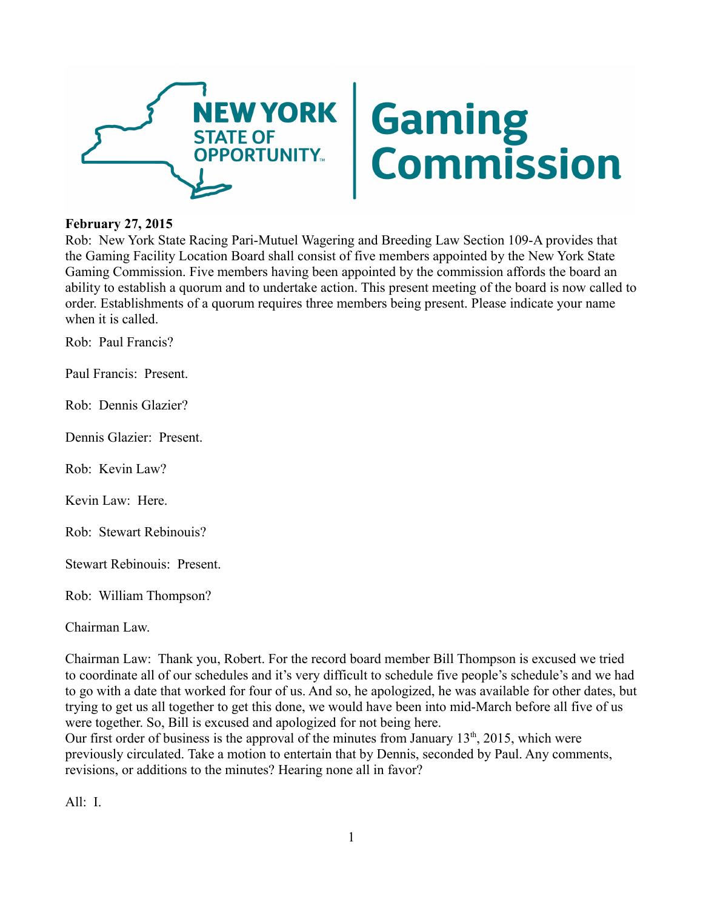

## **February 27, 2015**

Rob: New York State Racing Pari-Mutuel Wagering and Breeding Law Section 109-A provides that the Gaming Facility Location Board shall consist of five members appointed by the New York State Gaming Commission. Five members having been appointed by the commission affords the board an ability to establish a quorum and to undertake action. This present meeting of the board is now called to order. Establishments of a quorum requires three members being present. Please indicate your name when it is called.

Rob: Paul Francis?

Paul Francis: Present.

Rob: Dennis Glazier?

Dennis Glazier: Present.

Rob: Kevin Law?

Kevin Law: Here.

Rob: Stewart Rebinouis?

Stewart Rebinouis: Present.

Rob: William Thompson?

Chairman Law.

Chairman Law: Thank you, Robert. For the record board member Bill Thompson is excused we tried to coordinate all of our schedules and it's very difficult to schedule five people's schedule's and we had to go with a date that worked for four of us. And so, he apologized, he was available for other dates, but trying to get us all together to get this done, we would have been into mid-March before all five of us were together. So, Bill is excused and apologized for not being here.

Our first order of business is the approval of the minutes from January  $13<sup>th</sup>$ , 2015, which were previously circulated. Take a motion to entertain that by Dennis, seconded by Paul. Any comments, revisions, or additions to the minutes? Hearing none all in favor?

All: I.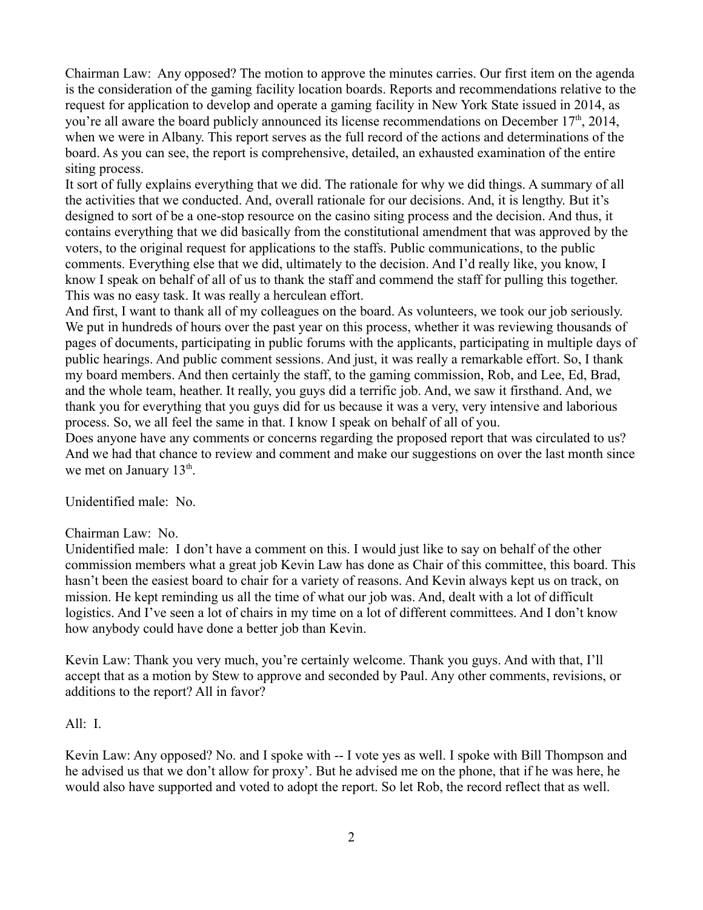Chairman Law: Any opposed? The motion to approve the minutes carries. Our first item on the agenda is the consideration of the gaming facility location boards. Reports and recommendations relative to the request for application to develop and operate a gaming facility in New York State issued in 2014, as you're all aware the board publicly announced its license recommendations on December  $17<sup>th</sup>$ , 2014, when we were in Albany. This report serves as the full record of the actions and determinations of the board. As you can see, the report is comprehensive, detailed, an exhausted examination of the entire siting process.

It sort of fully explains everything that we did. The rationale for why we did things. A summary of all the activities that we conducted. And, overall rationale for our decisions. And, it is lengthy. But it's designed to sort of be a one-stop resource on the casino siting process and the decision. And thus, it contains everything that we did basically from the constitutional amendment that was approved by the voters, to the original request for applications to the staffs. Public communications, to the public comments. Everything else that we did, ultimately to the decision. And I'd really like, you know, I know I speak on behalf of all of us to thank the staff and commend the staff for pulling this together. This was no easy task. It was really a herculean effort.

And first, I want to thank all of my colleagues on the board. As volunteers, we took our job seriously. We put in hundreds of hours over the past year on this process, whether it was reviewing thousands of pages of documents, participating in public forums with the applicants, participating in multiple days of public hearings. And public comment sessions. And just, it was really a remarkable effort. So, I thank my board members. And then certainly the staff, to the gaming commission, Rob, and Lee, Ed, Brad, and the whole team, heather. It really, you guys did a terrific job. And, we saw it firsthand. And, we thank you for everything that you guys did for us because it was a very, very intensive and laborious process. So, we all feel the same in that. I know I speak on behalf of all of you.

Does anyone have any comments or concerns regarding the proposed report that was circulated to us? And we had that chance to review and comment and make our suggestions on over the last month since we met on January  $13<sup>th</sup>$ .

Unidentified male: No.

## Chairman Law: No.

Unidentified male: I don't have a comment on this. I would just like to say on behalf of the other commission members what a great job Kevin Law has done as Chair of this committee, this board. This hasn't been the easiest board to chair for a variety of reasons. And Kevin always kept us on track, on mission. He kept reminding us all the time of what our job was. And, dealt with a lot of difficult logistics. And I've seen a lot of chairs in my time on a lot of different committees. And I don't know how anybody could have done a better job than Kevin.

Kevin Law: Thank you very much, you're certainly welcome. Thank you guys. And with that, I'll accept that as a motion by Stew to approve and seconded by Paul. Any other comments, revisions, or additions to the report? All in favor?

## All: I.

Kevin Law: Any opposed? No. and I spoke with -- I vote yes as well. I spoke with Bill Thompson and he advised us that we don't allow for proxy'. But he advised me on the phone, that if he was here, he would also have supported and voted to adopt the report. So let Rob, the record reflect that as well.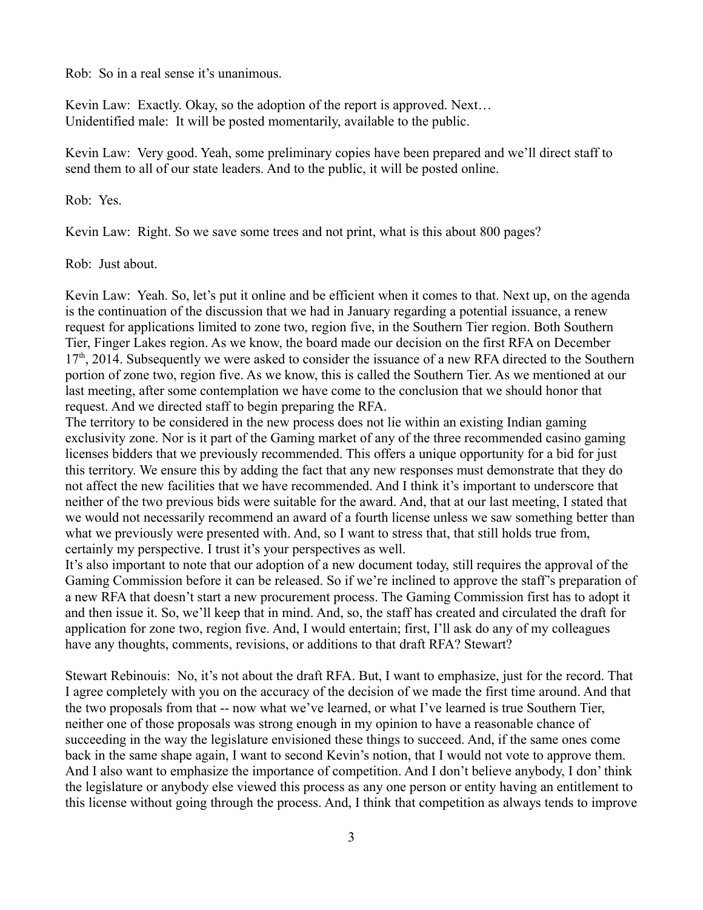Rob: So in a real sense it's unanimous.

Kevin Law: Exactly. Okay, so the adoption of the report is approved. Next... Unidentified male: It will be posted momentarily, available to the public.

Kevin Law: Very good. Yeah, some preliminary copies have been prepared and we'll direct staff to send them to all of our state leaders. And to the public, it will be posted online.

Rob: Yes.

Kevin Law: Right. So we save some trees and not print, what is this about 800 pages?

Rob: Just about.

Kevin Law: Yeah. So, let's put it online and be efficient when it comes to that. Next up, on the agenda is the continuation of the discussion that we had in January regarding a potential issuance, a renew request for applications limited to zone two, region five, in the Southern Tier region. Both Southern Tier, Finger Lakes region. As we know, the board made our decision on the first RFA on December  $17<sup>th</sup>$ , 2014. Subsequently we were asked to consider the issuance of a new RFA directed to the Southern portion of zone two, region five. As we know, this is called the Southern Tier. As we mentioned at our last meeting, after some contemplation we have come to the conclusion that we should honor that request. And we directed staff to begin preparing the RFA.

The territory to be considered in the new process does not lie within an existing Indian gaming exclusivity zone. Nor is it part of the Gaming market of any of the three recommended casino gaming licenses bidders that we previously recommended. This offers a unique opportunity for a bid for just this territory. We ensure this by adding the fact that any new responses must demonstrate that they do not affect the new facilities that we have recommended. And I think it's important to underscore that neither of the two previous bids were suitable for the award. And, that at our last meeting, I stated that we would not necessarily recommend an award of a fourth license unless we saw something better than what we previously were presented with. And, so I want to stress that, that still holds true from, certainly my perspective. I trust it's your perspectives as well.

It's also important to note that our adoption of a new document today, still requires the approval of the Gaming Commission before it can be released. So if we're inclined to approve the staff's preparation of a new RFA that doesn't start a new procurement process. The Gaming Commission first has to adopt it and then issue it. So, we'll keep that in mind. And, so, the staff has created and circulated the draft for application for zone two, region five. And, I would entertain; first, I'll ask do any of my colleagues have any thoughts, comments, revisions, or additions to that draft RFA? Stewart?

Stewart Rebinouis: No, it's not about the draft RFA. But, I want to emphasize, just for the record. That I agree completely with you on the accuracy of the decision of we made the first time around. And that the two proposals from that -- now what we've learned, or what I've learned is true Southern Tier, neither one of those proposals was strong enough in my opinion to have a reasonable chance of succeeding in the way the legislature envisioned these things to succeed. And, if the same ones come back in the same shape again, I want to second Kevin's notion, that I would not vote to approve them. And I also want to emphasize the importance of competition. And I don't believe anybody, I don' think the legislature or anybody else viewed this process as any one person or entity having an entitlement to this license without going through the process. And, I think that competition as always tends to improve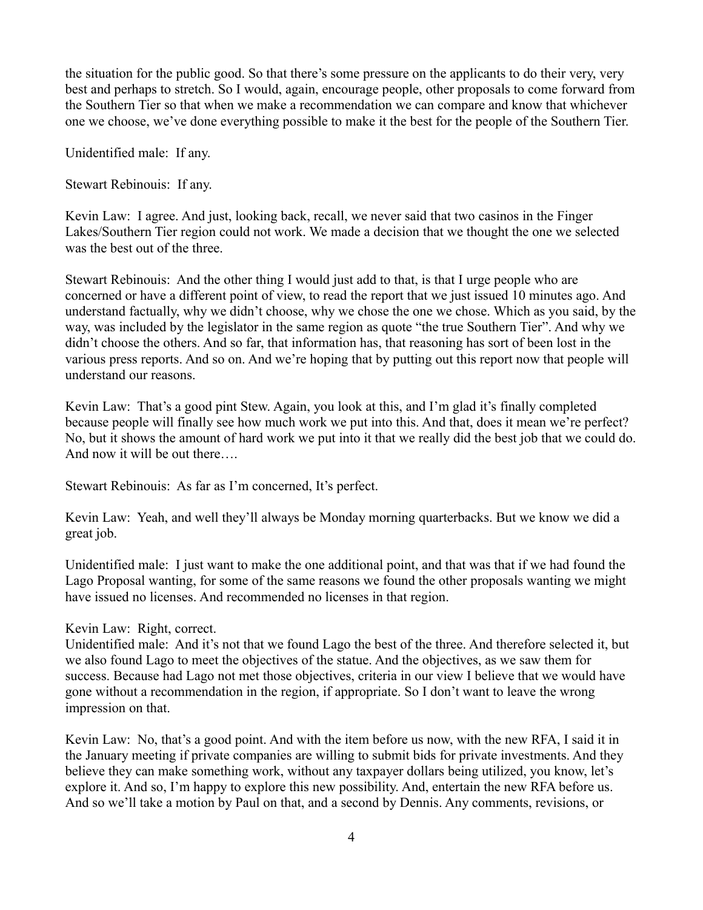the situation for the public good. So that there's some pressure on the applicants to do their very, very best and perhaps to stretch. So I would, again, encourage people, other proposals to come forward from the Southern Tier so that when we make a recommendation we can compare and know that whichever one we choose, we've done everything possible to make it the best for the people of the Southern Tier.

Unidentified male: If any.

Stewart Rebinouis: If any.

Kevin Law: I agree. And just, looking back, recall, we never said that two casinos in the Finger Lakes/Southern Tier region could not work. We made a decision that we thought the one we selected was the best out of the three.

Stewart Rebinouis: And the other thing I would just add to that, is that I urge people who are concerned or have a different point of view, to read the report that we just issued 10 minutes ago. And understand factually, why we didn't choose, why we chose the one we chose. Which as you said, by the way, was included by the legislator in the same region as quote "the true Southern Tier". And why we didn't choose the others. And so far, that information has, that reasoning has sort of been lost in the various press reports. And so on. And we're hoping that by putting out this report now that people will understand our reasons.

Kevin Law: That's a good pint Stew. Again, you look at this, and I'm glad it's finally completed because people will finally see how much work we put into this. And that, does it mean we're perfect? No, but it shows the amount of hard work we put into it that we really did the best job that we could do. And now it will be out there….

Stewart Rebinouis: As far as I'm concerned, It's perfect.

Kevin Law: Yeah, and well they'll always be Monday morning quarterbacks. But we know we did a great job.

Unidentified male: I just want to make the one additional point, and that was that if we had found the Lago Proposal wanting, for some of the same reasons we found the other proposals wanting we might have issued no licenses. And recommended no licenses in that region.

Kevin Law: Right, correct.

Unidentified male: And it's not that we found Lago the best of the three. And therefore selected it, but we also found Lago to meet the objectives of the statue. And the objectives, as we saw them for success. Because had Lago not met those objectives, criteria in our view I believe that we would have gone without a recommendation in the region, if appropriate. So I don't want to leave the wrong impression on that.

Kevin Law: No, that's a good point. And with the item before us now, with the new RFA, I said it in the January meeting if private companies are willing to submit bids for private investments. And they believe they can make something work, without any taxpayer dollars being utilized, you know, let's explore it. And so, I'm happy to explore this new possibility. And, entertain the new RFA before us. And so we'll take a motion by Paul on that, and a second by Dennis. Any comments, revisions, or